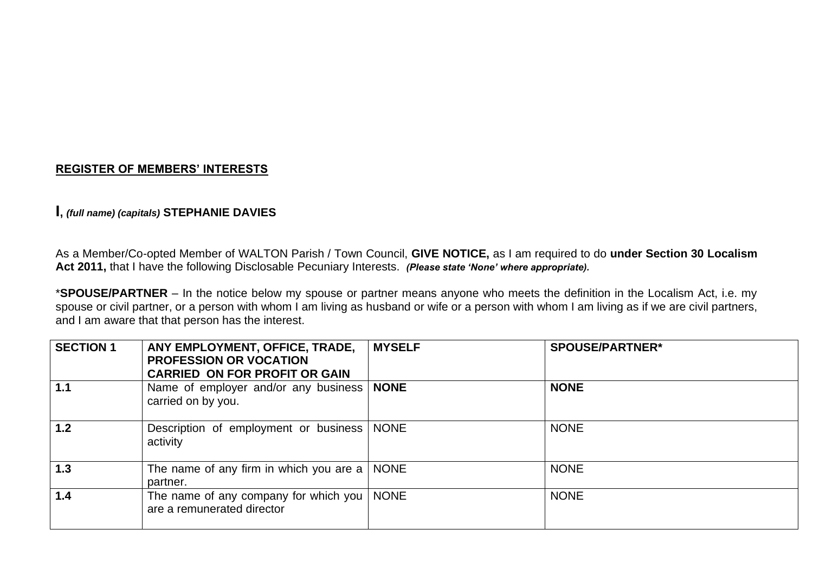## **REGISTER OF MEMBERS' INTERESTS**

# **I,** *(full name) (capitals)* **STEPHANIE DAVIES**

As a Member/Co-opted Member of WALTON Parish / Town Council, **GIVE NOTICE,** as I am required to do **under Section 30 Localism Act 2011,** that I have the following Disclosable Pecuniary Interests. *(Please state 'None' where appropriate).*

\***SPOUSE/PARTNER** – In the notice below my spouse or partner means anyone who meets the definition in the Localism Act, i.e. my spouse or civil partner, or a person with whom I am living as husband or wife or a person with whom I am living as if we are civil partners, and I am aware that that person has the interest.

| <b>SECTION 1</b> | ANY EMPLOYMENT, OFFICE, TRADE,<br><b>PROFESSION OR VOCATION</b><br><b>CARRIED ON FOR PROFIT OR GAIN</b> | <b>MYSELF</b> | <b>SPOUSE/PARTNER*</b> |
|------------------|---------------------------------------------------------------------------------------------------------|---------------|------------------------|
| 1.1              | Name of employer and/or any business   NONE<br>carried on by you.                                       |               | <b>NONE</b>            |
| 1.2              | Description of employment or business<br>activity                                                       | <b>NONE</b>   | <b>NONE</b>            |
| 1.3              | The name of any firm in which you are a $\vert$ NONE<br>partner.                                        |               | <b>NONE</b>            |
| 1.4              | The name of any company for which you  <br>are a remunerated director                                   | <b>NONE</b>   | <b>NONE</b>            |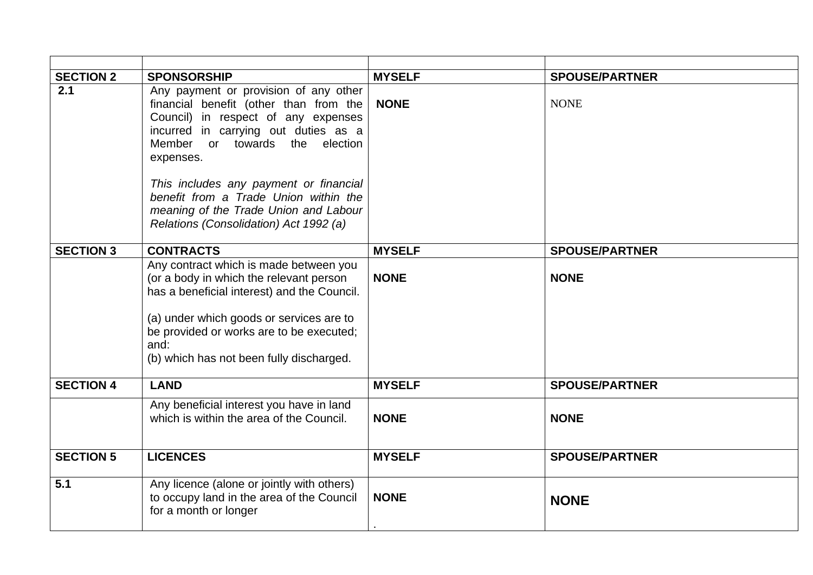| <b>SECTION 2</b> | <b>SPONSORSHIP</b>                                                                                                                                                                                                                                                           | <b>MYSELF</b> | <b>SPOUSE/PARTNER</b> |
|------------------|------------------------------------------------------------------------------------------------------------------------------------------------------------------------------------------------------------------------------------------------------------------------------|---------------|-----------------------|
| 2.1              | Any payment or provision of any other<br>financial benefit (other than from the<br>Council) in respect of any expenses<br>incurred in carrying out duties as a<br>Member or towards the election<br>expenses.                                                                | <b>NONE</b>   | <b>NONE</b>           |
|                  | This includes any payment or financial<br>benefit from a Trade Union within the<br>meaning of the Trade Union and Labour<br>Relations (Consolidation) Act 1992 (a)                                                                                                           |               |                       |
| <b>SECTION 3</b> | <b>CONTRACTS</b>                                                                                                                                                                                                                                                             | <b>MYSELF</b> | <b>SPOUSE/PARTNER</b> |
|                  | Any contract which is made between you<br>(or a body in which the relevant person<br>has a beneficial interest) and the Council.<br>(a) under which goods or services are to<br>be provided or works are to be executed;<br>and:<br>(b) which has not been fully discharged. | <b>NONE</b>   | <b>NONE</b>           |
| <b>SECTION 4</b> | <b>LAND</b>                                                                                                                                                                                                                                                                  | <b>MYSELF</b> | <b>SPOUSE/PARTNER</b> |
|                  | Any beneficial interest you have in land<br>which is within the area of the Council.                                                                                                                                                                                         | <b>NONE</b>   | <b>NONE</b>           |
| <b>SECTION 5</b> | <b>LICENCES</b>                                                                                                                                                                                                                                                              | <b>MYSELF</b> | <b>SPOUSE/PARTNER</b> |
| 5.1              | Any licence (alone or jointly with others)<br>to occupy land in the area of the Council<br>for a month or longer                                                                                                                                                             | <b>NONE</b>   | <b>NONE</b>           |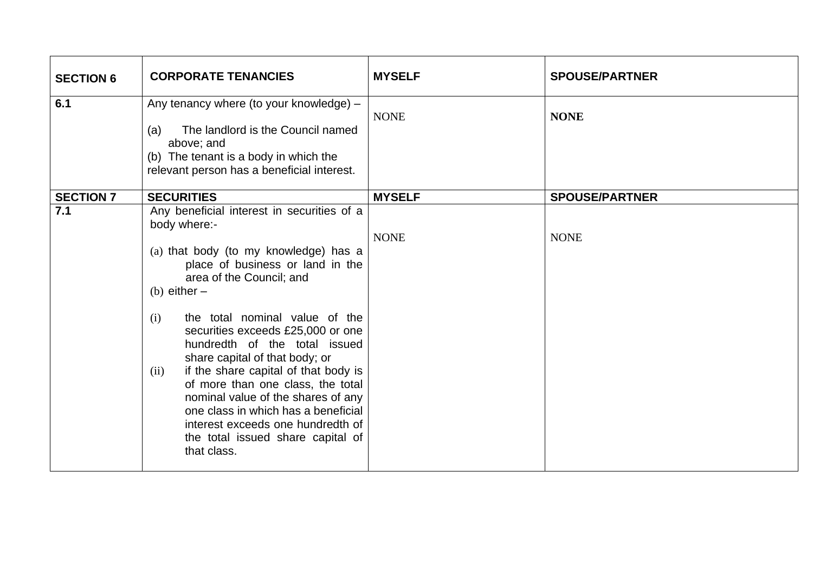| <b>SECTION 6</b> | <b>CORPORATE TENANCIES</b>                                                                                                                                                                                                                                                                                                                                                                                                                                                                                                                                                                        | <b>MYSELF</b> | <b>SPOUSE/PARTNER</b> |
|------------------|---------------------------------------------------------------------------------------------------------------------------------------------------------------------------------------------------------------------------------------------------------------------------------------------------------------------------------------------------------------------------------------------------------------------------------------------------------------------------------------------------------------------------------------------------------------------------------------------------|---------------|-----------------------|
| 6.1              | Any tenancy where (to your knowledge) -<br>The landlord is the Council named<br>(a)<br>above; and<br>(b) The tenant is a body in which the<br>relevant person has a beneficial interest.                                                                                                                                                                                                                                                                                                                                                                                                          | <b>NONE</b>   | <b>NONE</b>           |
| <b>SECTION 7</b> | <b>SECURITIES</b>                                                                                                                                                                                                                                                                                                                                                                                                                                                                                                                                                                                 | <b>MYSELF</b> | <b>SPOUSE/PARTNER</b> |
| 7.1              | Any beneficial interest in securities of a<br>body where:-<br>(a) that body (to my knowledge) has a<br>place of business or land in the<br>area of the Council; and<br>(b) either $-$<br>the total nominal value of the<br>(i)<br>securities exceeds £25,000 or one<br>hundredth of the total issued<br>share capital of that body; or<br>if the share capital of that body is<br>(ii)<br>of more than one class, the total<br>nominal value of the shares of any<br>one class in which has a beneficial<br>interest exceeds one hundredth of<br>the total issued share capital of<br>that class. | <b>NONE</b>   | <b>NONE</b>           |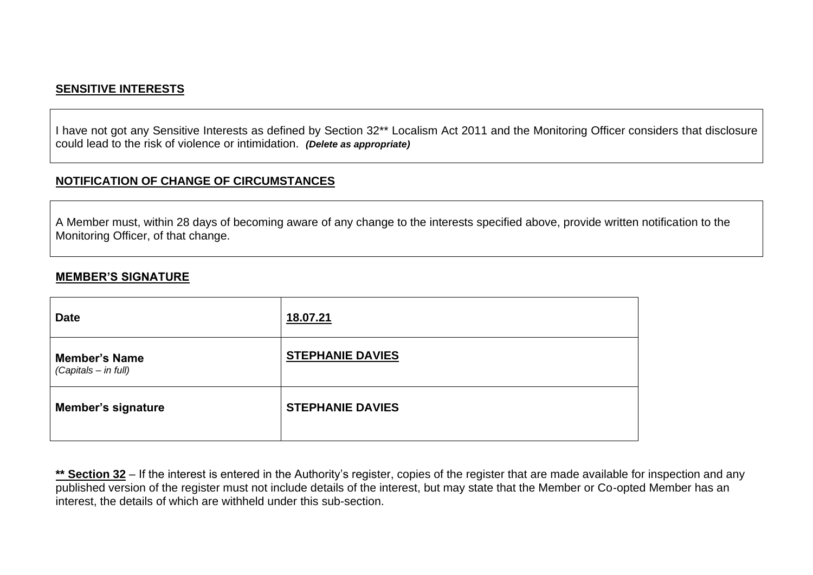# **SENSITIVE INTERESTS**

I have not got any Sensitive Interests as defined by Section 32\*\* Localism Act 2011 and the Monitoring Officer considers that disclosure could lead to the risk of violence or intimidation. *(Delete as appropriate)*

# **NOTIFICATION OF CHANGE OF CIRCUMSTANCES**

A Member must, within 28 days of becoming aware of any change to the interests specified above, provide written notification to the Monitoring Officer, of that change.

#### **MEMBER'S SIGNATURE**

| <b>Date</b>                                  | 18.07.21                |
|----------------------------------------------|-------------------------|
| <b>Member's Name</b><br>(Capitals - in full) | <b>STEPHANIE DAVIES</b> |
| <b>Member's signature</b>                    | <b>STEPHANIE DAVIES</b> |

\*\* Section 32 – If the interest is entered in the Authority's register, copies of the register that are made available for inspection and any published version of the register must not include details of the interest, but may state that the Member or Co-opted Member has an interest, the details of which are withheld under this sub-section.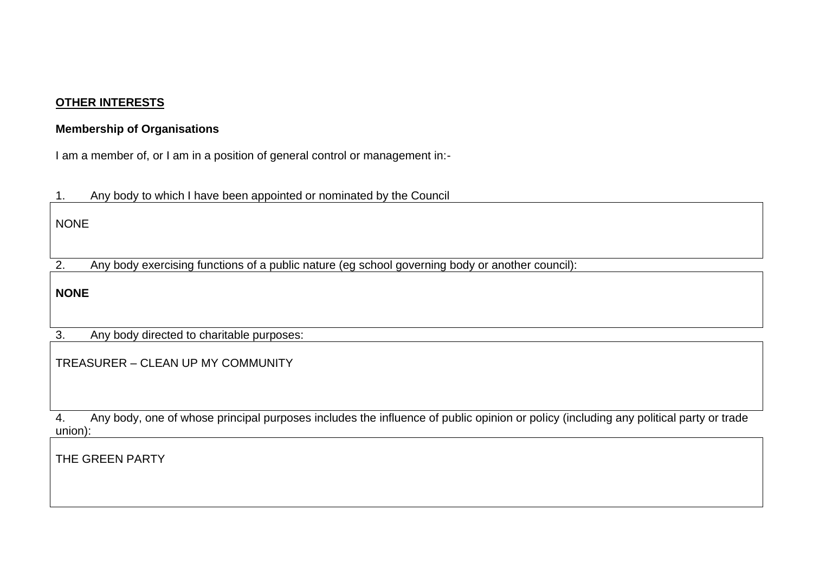# **OTHER INTERESTS**

# **Membership of Organisations**

I am a member of, or I am in a position of general control or management in:-

1. Any body to which I have been appointed or nominated by the Council

NONE

2. Any body exercising functions of a public nature (eg school governing body or another council):

**NONE**

3. Any body directed to charitable purposes:

TREASURER – CLEAN UP MY COMMUNITY

4. Any body, one of whose principal purposes includes the influence of public opinion or policy (including any political party or trade union):

THE GREEN PARTY